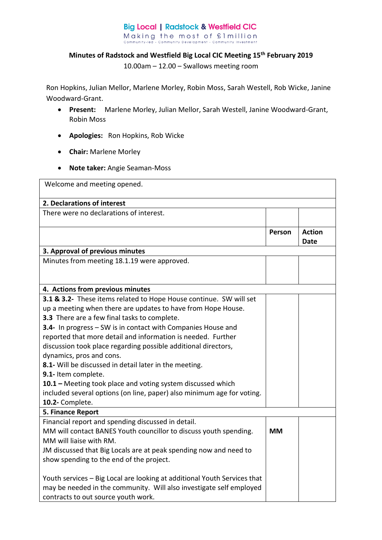## **Big Local | Radstock & Westfield CIC** Making the most of £1 million<br>Community-led - Community Development - Community Investment

## **Minutes of Radstock and Westfield Big Local CIC Meeting 15th February 2019**

10.00am – 12.00 – Swallows meeting room

Ron Hopkins, Julian Mellor, Marlene Morley, Robin Moss, Sarah Westell, Rob Wicke, Janine Woodward-Grant.

- **Present:** Marlene Morley, Julian Mellor, Sarah Westell, Janine Woodward-Grant, Robin Moss
- **Apologies:** Ron Hopkins, Rob Wicke
- **Chair:** Marlene Morley
- **Note taker:** Angie Seaman-Moss

| Welcome and meeting opened.                                                                                                                                                                                                                                                                                                                                                                                                                                                                                                                                                                                                                                   |           |                              |  |  |
|---------------------------------------------------------------------------------------------------------------------------------------------------------------------------------------------------------------------------------------------------------------------------------------------------------------------------------------------------------------------------------------------------------------------------------------------------------------------------------------------------------------------------------------------------------------------------------------------------------------------------------------------------------------|-----------|------------------------------|--|--|
| 2. Declarations of interest                                                                                                                                                                                                                                                                                                                                                                                                                                                                                                                                                                                                                                   |           |                              |  |  |
| There were no declarations of interest.                                                                                                                                                                                                                                                                                                                                                                                                                                                                                                                                                                                                                       |           |                              |  |  |
|                                                                                                                                                                                                                                                                                                                                                                                                                                                                                                                                                                                                                                                               | Person    | <b>Action</b><br><b>Date</b> |  |  |
| 3. Approval of previous minutes                                                                                                                                                                                                                                                                                                                                                                                                                                                                                                                                                                                                                               |           |                              |  |  |
| Minutes from meeting 18.1.19 were approved.                                                                                                                                                                                                                                                                                                                                                                                                                                                                                                                                                                                                                   |           |                              |  |  |
| 4. Actions from previous minutes                                                                                                                                                                                                                                                                                                                                                                                                                                                                                                                                                                                                                              |           |                              |  |  |
| 3.1 & 3.2- These items related to Hope House continue. SW will set<br>up a meeting when there are updates to have from Hope House.<br>3.3 There are a few final tasks to complete.<br>3.4- In progress - SW is in contact with Companies House and<br>reported that more detail and information is needed. Further<br>discussion took place regarding possible additional directors,<br>dynamics, pros and cons.<br>8.1- Will be discussed in detail later in the meeting.<br>9.1- Item complete.<br>10.1 - Meeting took place and voting system discussed which<br>included several options (on line, paper) also minimum age for voting.<br>10.2- Complete. |           |                              |  |  |
| 5. Finance Report                                                                                                                                                                                                                                                                                                                                                                                                                                                                                                                                                                                                                                             |           |                              |  |  |
| Financial report and spending discussed in detail.<br>MM will contact BANES Youth councillor to discuss youth spending.<br>MM will liaise with RM.<br>JM discussed that Big Locals are at peak spending now and need to<br>show spending to the end of the project.                                                                                                                                                                                                                                                                                                                                                                                           | <b>MM</b> |                              |  |  |
| Youth services - Big Local are looking at additional Youth Services that<br>may be needed in the community. Will also investigate self employed<br>contracts to out source youth work.                                                                                                                                                                                                                                                                                                                                                                                                                                                                        |           |                              |  |  |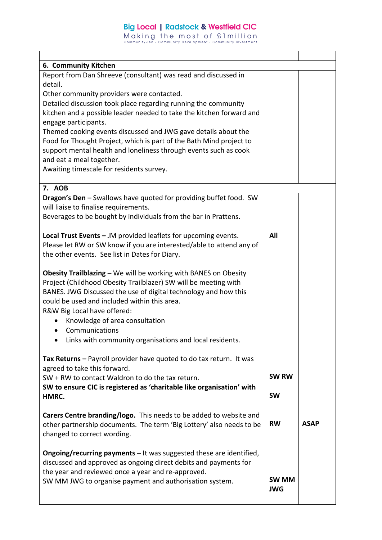## **Big Local | Radstock & Westfield CIC**

Making the most of filmillion<br>community-led - Community Development - Community Investment

 $\mathbf{r}$ 

| 6. Community Kitchen                                                       |              |             |
|----------------------------------------------------------------------------|--------------|-------------|
| Report from Dan Shreeve (consultant) was read and discussed in             |              |             |
| detail.                                                                    |              |             |
| Other community providers were contacted.                                  |              |             |
| Detailed discussion took place regarding running the community             |              |             |
| kitchen and a possible leader needed to take the kitchen forward and       |              |             |
| engage participants.                                                       |              |             |
| Themed cooking events discussed and JWG gave details about the             |              |             |
| Food for Thought Project, which is part of the Bath Mind project to        |              |             |
| support mental health and loneliness through events such as cook           |              |             |
| and eat a meal together.                                                   |              |             |
| Awaiting timescale for residents survey.                                   |              |             |
|                                                                            |              |             |
| 7. AOB                                                                     |              |             |
| Dragon's Den - Swallows have quoted for providing buffet food. SW          |              |             |
| will liaise to finalise requirements.                                      |              |             |
| Beverages to be bought by individuals from the bar in Prattens.            |              |             |
|                                                                            |              |             |
| Local Trust Events - JM provided leaflets for upcoming events.             | All          |             |
| Please let RW or SW know if you are interested/able to attend any of       |              |             |
| the other events. See list in Dates for Diary.                             |              |             |
|                                                                            |              |             |
| Obesity Trailblazing - We will be working with BANES on Obesity            |              |             |
|                                                                            |              |             |
| Project (Childhood Obesity Trailblazer) SW will be meeting with            |              |             |
| BANES. JWG Discussed the use of digital technology and how this            |              |             |
| could be used and included within this area.                               |              |             |
| R&W Big Local have offered:                                                |              |             |
| Knowledge of area consultation                                             |              |             |
| Communications                                                             |              |             |
| • Links with community organisations and local residents.                  |              |             |
|                                                                            |              |             |
| Tax Returns - Payroll provider have quoted to do tax return. It was        |              |             |
| agreed to take this forward.                                               |              |             |
| SW + RW to contact Waldron to do the tax return.                           | <b>SW RW</b> |             |
| SW to ensure CIC is registered as 'charitable like organisation' with      |              |             |
| HMRC.                                                                      | <b>SW</b>    |             |
|                                                                            |              |             |
| Carers Centre branding/logo. This needs to be added to website and         |              |             |
| other partnership documents. The term 'Big Lottery' also needs to be       | <b>RW</b>    | <b>ASAP</b> |
|                                                                            |              |             |
| changed to correct wording.                                                |              |             |
| <b>Ongoing/recurring payments - It was suggested these are identified,</b> |              |             |
|                                                                            |              |             |
| discussed and approved as ongoing direct debits and payments for           |              |             |
| the year and reviewed once a year and re-approved.                         | <b>SW MM</b> |             |
| SW MM JWG to organise payment and authorisation system.                    |              |             |
|                                                                            | <b>JWG</b>   |             |
|                                                                            |              |             |